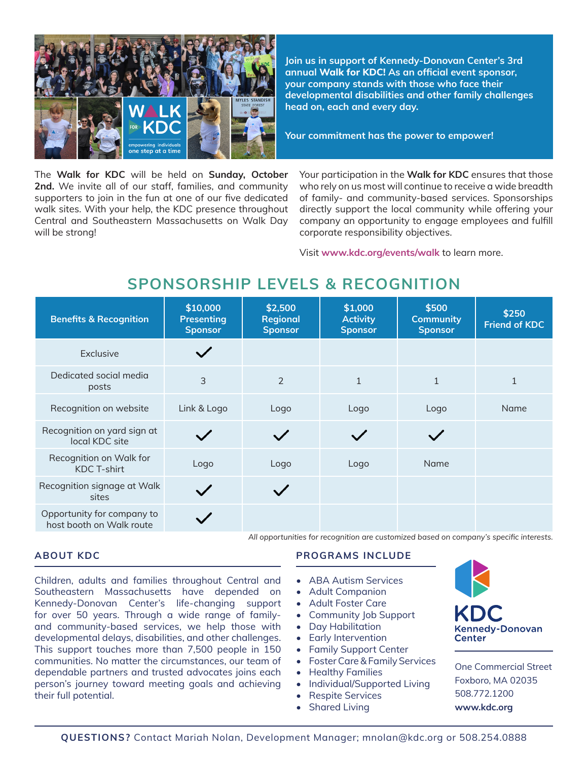

**Join us in support of Kennedy-Donovan Center's 3rd annual Walk for KDC! As an official event sponsor, your company stands with those who face their developmental disabilities and other family challenges head on, each and every day.**

**Your commitment has the power to empower!**

The **Walk for KDC** will be held on **Sunday, October 2nd.** We invite all of our staff, families, and community supporters to join in the fun at one of our five dedicated walk sites. With your help, the KDC presence throughout Central and Southeastern Massachusetts on Walk Day will be strong!

Your participation in the **Walk for KDC** ensures that those who rely on us most will continue to receive a wide breadth of family- and community-based services. Sponsorships directly support the local community while offering your company an opportunity to engage employees and fulfill corporate responsibility objectives.

Visit **www.kdc.org/events/walk** to learn more.

### **SPONSORSHIP LEVELS & RECOGNITION**

| <b>Benefits &amp; Recognition</b>                      | \$10,000<br><b>Presenting</b><br><b>Sponsor</b> | \$2,500<br><b>Regional</b><br><b>Sponsor</b> | \$1,000<br><b>Activity</b><br><b>Sponsor</b> | \$500<br><b>Community</b><br><b>Sponsor</b> | \$250<br><b>Friend of KDC</b> |
|--------------------------------------------------------|-------------------------------------------------|----------------------------------------------|----------------------------------------------|---------------------------------------------|-------------------------------|
| Exclusive                                              |                                                 |                                              |                                              |                                             |                               |
| Dedicated social media<br>posts                        | 3                                               | $\overline{2}$                               | $\mathbf{1}$                                 | $\mathbf{1}$                                |                               |
| Recognition on website                                 | Link & Logo                                     | Logo                                         | Logo                                         | Logo                                        | Name                          |
| Recognition on yard sign at<br>local KDC site          |                                                 |                                              |                                              |                                             |                               |
| Recognition on Walk for<br><b>KDC T-shirt</b>          | Logo                                            | Logo                                         | Logo                                         | Name                                        |                               |
| Recognition signage at Walk<br>sites                   |                                                 |                                              |                                              |                                             |                               |
| Opportunity for company to<br>host booth on Walk route |                                                 |                                              |                                              |                                             |                               |

### **ABOUT KDC**

Children, adults and families throughout Central and Southeastern Massachusetts have depended on Kennedy-Donovan Center's life-changing support for over 50 years. Through a wide range of familyand community-based services, we help those with developmental delays, disabilities, and other challenges. This support touches more than 7,500 people in 150 communities. No matter the circumstances, our team of dependable partners and trusted advocates joins each person's journey toward meeting goals and achieving their full potential.

#### **PROGRAMS INCLUDE**

*All opportunities for recognition are customized based on company's specific interests.*

- ABA Autism Services
- Adult Companion
- Adult Foster Care
- Community Job Support
- Day Habilitation
- **Early Intervention**
- Family Support Center
- Foster Care & Family Services
- Healthy Families
- Individual/Supported Living
- Respite Services
- **Shared Living**



One Commercial Street Foxboro, MA 02035 508.772.1200 **www.kdc.org**